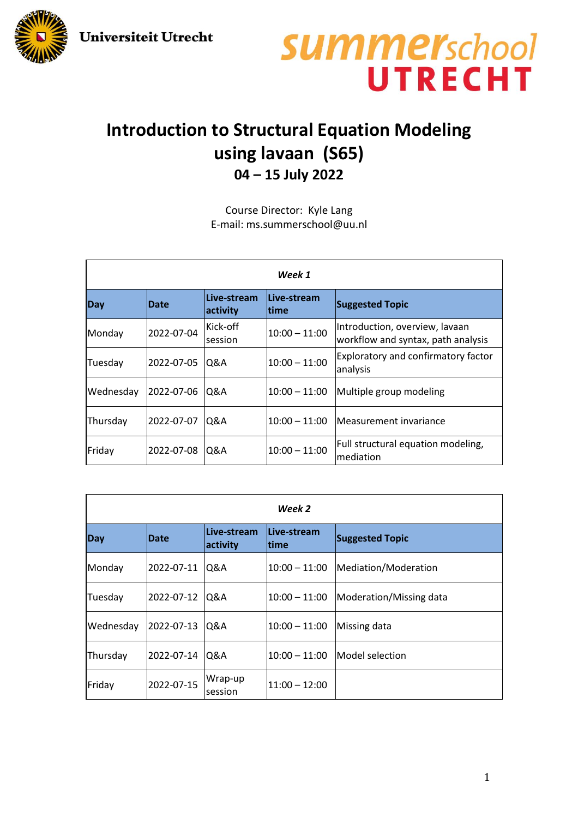**Universiteit Utrecht** 



## **summer**school UTRECHT

## **Introduction to Structural Equation Modeling using lavaan (S65) 04 – 15 July 2022**

Course Director: Kyle Lang E-mail: ms.summerschool@uu.nl

| Week 1    |             |                         |                      |                                                                      |  |  |
|-----------|-------------|-------------------------|----------------------|----------------------------------------------------------------------|--|--|
| Day       | <b>Date</b> | Live-stream<br>activity | Live-stream<br>ltime | <b>Suggested Topic</b>                                               |  |  |
| Monday    | 2022-07-04  | Kick-off<br>session     | $10:00 - 11:00$      | Introduction, overview, lavaan<br>workflow and syntax, path analysis |  |  |
| Tuesday   | 2022-07-05  | Q&A                     | $10:00 - 11:00$      | <b>Exploratory and confirmatory factor</b><br>analysis               |  |  |
| Wednesday | 2022-07-06  | Q&A                     | $10:00 - 11:00$      | Multiple group modeling                                              |  |  |
| Thursday  | 2022-07-07  | Q&A                     | $10:00 - 11:00$      | Measurement invariance                                               |  |  |
| Friday    | 2022-07-08  | Q&A                     | $10:00 - 11:00$      | Full structural equation modeling,<br>mediation                      |  |  |

| Week 2    |             |                         |                            |                         |  |  |  |
|-----------|-------------|-------------------------|----------------------------|-------------------------|--|--|--|
| Day       | <b>Date</b> | Live-stream<br>activity | Live-stream<br><b>time</b> | <b>Suggested Topic</b>  |  |  |  |
| Monday    | 2022-07-11  | Q&A                     | $10:00 - 11:00$            | Mediation/Moderation    |  |  |  |
| Tuesday   | 2022-07-12  | Q&A                     | $10:00 - 11:00$            | Moderation/Missing data |  |  |  |
| Wednesday | 2022-07-13  | Q&A                     | $10:00 - 11:00$            | Missing data            |  |  |  |
| Thursday  | 2022-07-14  | Q&A                     | $10:00 - 11:00$            | Model selection         |  |  |  |
| Friday    | 2022-07-15  | Wrap-up<br>session      | $11:00 - 12:00$            |                         |  |  |  |